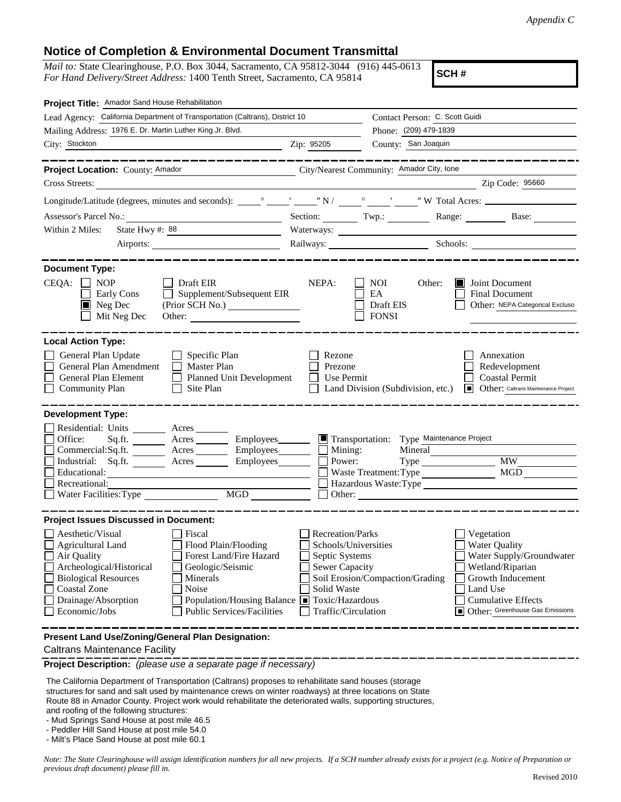## **Notice of Completion & Environmental Document Transmittal**

*Mail to:* State Clearinghouse, P.O. Box 3044, Sacramento, CA 95812-3044 (916) 445-0613 *For Hand Delivery/Street Address:* 1400 Tenth Street, Sacramento, CA 95814

**SCH #**

| Lead Agency: California Department of Transportation (Caltrans), District 10<br>Contact Person: C. Scott Guidi<br>Mailing Address: 1976 E. Dr. Martin Luther King Jr. Blvd.<br>Phone: (209) 479-1839<br>County: San Joaquin<br>City: Stockton<br>Zip: 95205<br>--------------<br>Project Location: County: Amador<br>City/Nearest Community: Amador City, Ione<br>Zip Code: 95660<br>Cross Streets:<br>Section: Twp.: Range: Base:<br>State Hwy #: 88<br>Within 2 Miles:<br><u> 1989 - Johann Barn, fransk politik (</u><br><b>Document Type:</b><br>$CEQA: \Box NP$<br>Draft EIR<br>NEPA:<br>NOI.<br>Other:<br>Joint Document<br>ШH<br>Supplement/Subsequent EIR<br><b>Early Cons</b><br>EA<br><b>Final Document</b><br>$\perp$<br>$\blacksquare$ Neg Dec<br>Draft EIS<br>Other: NEPA Categorical Excluso<br>Mit Neg Dec<br><b>FONSI</b><br>Other:<br><b>Local Action Type:</b><br>General Plan Update<br>Specific Plan<br>Rezone<br>Annexation<br>Master Plan<br>General Plan Amendment<br>Prezone<br>Redevelopment<br><b>Coastal Permit</b><br>General Plan Element<br><b>Planned Unit Development</b><br>Use Permit<br>Site Plan<br><b>Community Plan</b><br>Land Division (Subdivision, etc.)<br><b>I</b> Other: Caltrans Maintenance Project<br><b>Development Type:</b><br>Residential: Units ________ Acres _______<br>Office:<br>Transportation: Type Maintenance Project<br>Sq.ft.<br>Acres ___________ Employees________<br>Mining:<br>Commercial:Sq.ft. _________ Acres _________ Employees_______<br>Mineral<br><b>MW</b><br>Industrial: Sq.ft. _______ Acres ______<br>Employees_______<br>Power:<br><b>MGD</b><br>Waste Treatment: Type<br>Educational:<br>Recreational:<br>Hazardous Waste:Type<br>$\overline{\text{MGD}}$<br>Water Facilities: Type<br>Other:<br><b>Project Issues Discussed in Document:</b><br>$\Box$ Aesthetic/Visual<br>$\Box$ Fiscal<br>Recreation/Parks<br>Vegetation<br>□ Agricultural Land □ Flood Plain/Flooding<br>Water Quality<br>$\Box$ Schools/Universities<br>Water Supply/Groundwater<br>Air Quality<br>Forest Land/Fire Hazard<br>Septic Systems<br>Archeological/Historical<br>Wetland/Riparian<br>Geologic/Seismic<br>Sewer Capacity<br><b>Biological Resources</b><br>Soil Erosion/Compaction/Grading<br>Growth Inducement<br>Minerals<br>Coastal Zone<br>Noise<br>Solid Waste<br>Land Use<br>Population/Housing Balance ■ Toxic/Hazardous<br>Drainage/Absorption<br><b>Cumulative Effects</b><br>Economic/Jobs<br>Public Services/Facilities<br>Other: Greenhouse Gas Emissions<br>Traffic/Circulation<br>Present Land Use/Zoning/General Plan Designation: | Project Title: Amador Sand House Rehabilitation |  |  |  |  |  |  |  |
|-------------------------------------------------------------------------------------------------------------------------------------------------------------------------------------------------------------------------------------------------------------------------------------------------------------------------------------------------------------------------------------------------------------------------------------------------------------------------------------------------------------------------------------------------------------------------------------------------------------------------------------------------------------------------------------------------------------------------------------------------------------------------------------------------------------------------------------------------------------------------------------------------------------------------------------------------------------------------------------------------------------------------------------------------------------------------------------------------------------------------------------------------------------------------------------------------------------------------------------------------------------------------------------------------------------------------------------------------------------------------------------------------------------------------------------------------------------------------------------------------------------------------------------------------------------------------------------------------------------------------------------------------------------------------------------------------------------------------------------------------------------------------------------------------------------------------------------------------------------------------------------------------------------------------------------------------------------------------------------------------------------------------------------------------------------------------------------------------------------------------------------------------------------------------------------------------------------------------------------------------------------------------------------------------------------------------------------------------------------------------------------------------------------------------------------------------------------------------------------------------------------------------------------------------------------------------------------------------------------------|-------------------------------------------------|--|--|--|--|--|--|--|
|                                                                                                                                                                                                                                                                                                                                                                                                                                                                                                                                                                                                                                                                                                                                                                                                                                                                                                                                                                                                                                                                                                                                                                                                                                                                                                                                                                                                                                                                                                                                                                                                                                                                                                                                                                                                                                                                                                                                                                                                                                                                                                                                                                                                                                                                                                                                                                                                                                                                                                                                                                                                                   |                                                 |  |  |  |  |  |  |  |
|                                                                                                                                                                                                                                                                                                                                                                                                                                                                                                                                                                                                                                                                                                                                                                                                                                                                                                                                                                                                                                                                                                                                                                                                                                                                                                                                                                                                                                                                                                                                                                                                                                                                                                                                                                                                                                                                                                                                                                                                                                                                                                                                                                                                                                                                                                                                                                                                                                                                                                                                                                                                                   |                                                 |  |  |  |  |  |  |  |
|                                                                                                                                                                                                                                                                                                                                                                                                                                                                                                                                                                                                                                                                                                                                                                                                                                                                                                                                                                                                                                                                                                                                                                                                                                                                                                                                                                                                                                                                                                                                                                                                                                                                                                                                                                                                                                                                                                                                                                                                                                                                                                                                                                                                                                                                                                                                                                                                                                                                                                                                                                                                                   |                                                 |  |  |  |  |  |  |  |
|                                                                                                                                                                                                                                                                                                                                                                                                                                                                                                                                                                                                                                                                                                                                                                                                                                                                                                                                                                                                                                                                                                                                                                                                                                                                                                                                                                                                                                                                                                                                                                                                                                                                                                                                                                                                                                                                                                                                                                                                                                                                                                                                                                                                                                                                                                                                                                                                                                                                                                                                                                                                                   |                                                 |  |  |  |  |  |  |  |
|                                                                                                                                                                                                                                                                                                                                                                                                                                                                                                                                                                                                                                                                                                                                                                                                                                                                                                                                                                                                                                                                                                                                                                                                                                                                                                                                                                                                                                                                                                                                                                                                                                                                                                                                                                                                                                                                                                                                                                                                                                                                                                                                                                                                                                                                                                                                                                                                                                                                                                                                                                                                                   |                                                 |  |  |  |  |  |  |  |
|                                                                                                                                                                                                                                                                                                                                                                                                                                                                                                                                                                                                                                                                                                                                                                                                                                                                                                                                                                                                                                                                                                                                                                                                                                                                                                                                                                                                                                                                                                                                                                                                                                                                                                                                                                                                                                                                                                                                                                                                                                                                                                                                                                                                                                                                                                                                                                                                                                                                                                                                                                                                                   |                                                 |  |  |  |  |  |  |  |
|                                                                                                                                                                                                                                                                                                                                                                                                                                                                                                                                                                                                                                                                                                                                                                                                                                                                                                                                                                                                                                                                                                                                                                                                                                                                                                                                                                                                                                                                                                                                                                                                                                                                                                                                                                                                                                                                                                                                                                                                                                                                                                                                                                                                                                                                                                                                                                                                                                                                                                                                                                                                                   |                                                 |  |  |  |  |  |  |  |
|                                                                                                                                                                                                                                                                                                                                                                                                                                                                                                                                                                                                                                                                                                                                                                                                                                                                                                                                                                                                                                                                                                                                                                                                                                                                                                                                                                                                                                                                                                                                                                                                                                                                                                                                                                                                                                                                                                                                                                                                                                                                                                                                                                                                                                                                                                                                                                                                                                                                                                                                                                                                                   |                                                 |  |  |  |  |  |  |  |
|                                                                                                                                                                                                                                                                                                                                                                                                                                                                                                                                                                                                                                                                                                                                                                                                                                                                                                                                                                                                                                                                                                                                                                                                                                                                                                                                                                                                                                                                                                                                                                                                                                                                                                                                                                                                                                                                                                                                                                                                                                                                                                                                                                                                                                                                                                                                                                                                                                                                                                                                                                                                                   |                                                 |  |  |  |  |  |  |  |
|                                                                                                                                                                                                                                                                                                                                                                                                                                                                                                                                                                                                                                                                                                                                                                                                                                                                                                                                                                                                                                                                                                                                                                                                                                                                                                                                                                                                                                                                                                                                                                                                                                                                                                                                                                                                                                                                                                                                                                                                                                                                                                                                                                                                                                                                                                                                                                                                                                                                                                                                                                                                                   |                                                 |  |  |  |  |  |  |  |
|                                                                                                                                                                                                                                                                                                                                                                                                                                                                                                                                                                                                                                                                                                                                                                                                                                                                                                                                                                                                                                                                                                                                                                                                                                                                                                                                                                                                                                                                                                                                                                                                                                                                                                                                                                                                                                                                                                                                                                                                                                                                                                                                                                                                                                                                                                                                                                                                                                                                                                                                                                                                                   |                                                 |  |  |  |  |  |  |  |
|                                                                                                                                                                                                                                                                                                                                                                                                                                                                                                                                                                                                                                                                                                                                                                                                                                                                                                                                                                                                                                                                                                                                                                                                                                                                                                                                                                                                                                                                                                                                                                                                                                                                                                                                                                                                                                                                                                                                                                                                                                                                                                                                                                                                                                                                                                                                                                                                                                                                                                                                                                                                                   |                                                 |  |  |  |  |  |  |  |
|                                                                                                                                                                                                                                                                                                                                                                                                                                                                                                                                                                                                                                                                                                                                                                                                                                                                                                                                                                                                                                                                                                                                                                                                                                                                                                                                                                                                                                                                                                                                                                                                                                                                                                                                                                                                                                                                                                                                                                                                                                                                                                                                                                                                                                                                                                                                                                                                                                                                                                                                                                                                                   |                                                 |  |  |  |  |  |  |  |
|                                                                                                                                                                                                                                                                                                                                                                                                                                                                                                                                                                                                                                                                                                                                                                                                                                                                                                                                                                                                                                                                                                                                                                                                                                                                                                                                                                                                                                                                                                                                                                                                                                                                                                                                                                                                                                                                                                                                                                                                                                                                                                                                                                                                                                                                                                                                                                                                                                                                                                                                                                                                                   |                                                 |  |  |  |  |  |  |  |
|                                                                                                                                                                                                                                                                                                                                                                                                                                                                                                                                                                                                                                                                                                                                                                                                                                                                                                                                                                                                                                                                                                                                                                                                                                                                                                                                                                                                                                                                                                                                                                                                                                                                                                                                                                                                                                                                                                                                                                                                                                                                                                                                                                                                                                                                                                                                                                                                                                                                                                                                                                                                                   |                                                 |  |  |  |  |  |  |  |
|                                                                                                                                                                                                                                                                                                                                                                                                                                                                                                                                                                                                                                                                                                                                                                                                                                                                                                                                                                                                                                                                                                                                                                                                                                                                                                                                                                                                                                                                                                                                                                                                                                                                                                                                                                                                                                                                                                                                                                                                                                                                                                                                                                                                                                                                                                                                                                                                                                                                                                                                                                                                                   |                                                 |  |  |  |  |  |  |  |
|                                                                                                                                                                                                                                                                                                                                                                                                                                                                                                                                                                                                                                                                                                                                                                                                                                                                                                                                                                                                                                                                                                                                                                                                                                                                                                                                                                                                                                                                                                                                                                                                                                                                                                                                                                                                                                                                                                                                                                                                                                                                                                                                                                                                                                                                                                                                                                                                                                                                                                                                                                                                                   |                                                 |  |  |  |  |  |  |  |
|                                                                                                                                                                                                                                                                                                                                                                                                                                                                                                                                                                                                                                                                                                                                                                                                                                                                                                                                                                                                                                                                                                                                                                                                                                                                                                                                                                                                                                                                                                                                                                                                                                                                                                                                                                                                                                                                                                                                                                                                                                                                                                                                                                                                                                                                                                                                                                                                                                                                                                                                                                                                                   |                                                 |  |  |  |  |  |  |  |
|                                                                                                                                                                                                                                                                                                                                                                                                                                                                                                                                                                                                                                                                                                                                                                                                                                                                                                                                                                                                                                                                                                                                                                                                                                                                                                                                                                                                                                                                                                                                                                                                                                                                                                                                                                                                                                                                                                                                                                                                                                                                                                                                                                                                                                                                                                                                                                                                                                                                                                                                                                                                                   |                                                 |  |  |  |  |  |  |  |
|                                                                                                                                                                                                                                                                                                                                                                                                                                                                                                                                                                                                                                                                                                                                                                                                                                                                                                                                                                                                                                                                                                                                                                                                                                                                                                                                                                                                                                                                                                                                                                                                                                                                                                                                                                                                                                                                                                                                                                                                                                                                                                                                                                                                                                                                                                                                                                                                                                                                                                                                                                                                                   |                                                 |  |  |  |  |  |  |  |
|                                                                                                                                                                                                                                                                                                                                                                                                                                                                                                                                                                                                                                                                                                                                                                                                                                                                                                                                                                                                                                                                                                                                                                                                                                                                                                                                                                                                                                                                                                                                                                                                                                                                                                                                                                                                                                                                                                                                                                                                                                                                                                                                                                                                                                                                                                                                                                                                                                                                                                                                                                                                                   |                                                 |  |  |  |  |  |  |  |
|                                                                                                                                                                                                                                                                                                                                                                                                                                                                                                                                                                                                                                                                                                                                                                                                                                                                                                                                                                                                                                                                                                                                                                                                                                                                                                                                                                                                                                                                                                                                                                                                                                                                                                                                                                                                                                                                                                                                                                                                                                                                                                                                                                                                                                                                                                                                                                                                                                                                                                                                                                                                                   |                                                 |  |  |  |  |  |  |  |
| <b>Caltrans Maintenance Facility</b>                                                                                                                                                                                                                                                                                                                                                                                                                                                                                                                                                                                                                                                                                                                                                                                                                                                                                                                                                                                                                                                                                                                                                                                                                                                                                                                                                                                                                                                                                                                                                                                                                                                                                                                                                                                                                                                                                                                                                                                                                                                                                                                                                                                                                                                                                                                                                                                                                                                                                                                                                                              |                                                 |  |  |  |  |  |  |  |

**Project Description:** *(please use a separate page if necessary)*

 The California Department of Transportation (Caltrans) proposes to rehabilitate sand houses (storage structures for sand and salt used by maintenance crews on winter roadways) at three locations on State Route 88 in Amador County. Project work would rehabilitate the deteriorated walls, supporting structures, and roofing of the following structures:

- Mud Springs Sand House at post mile 46.5

- Peddler Hill Sand House at post mile 54.0

- Milt's Place Sand House at post mile 60.1

*Note: The State Clearinghouse will assign identification numbers for all new projects. If a SCH number already exists for a project (e.g. Notice of Preparation or previous draft document) please fill in.*